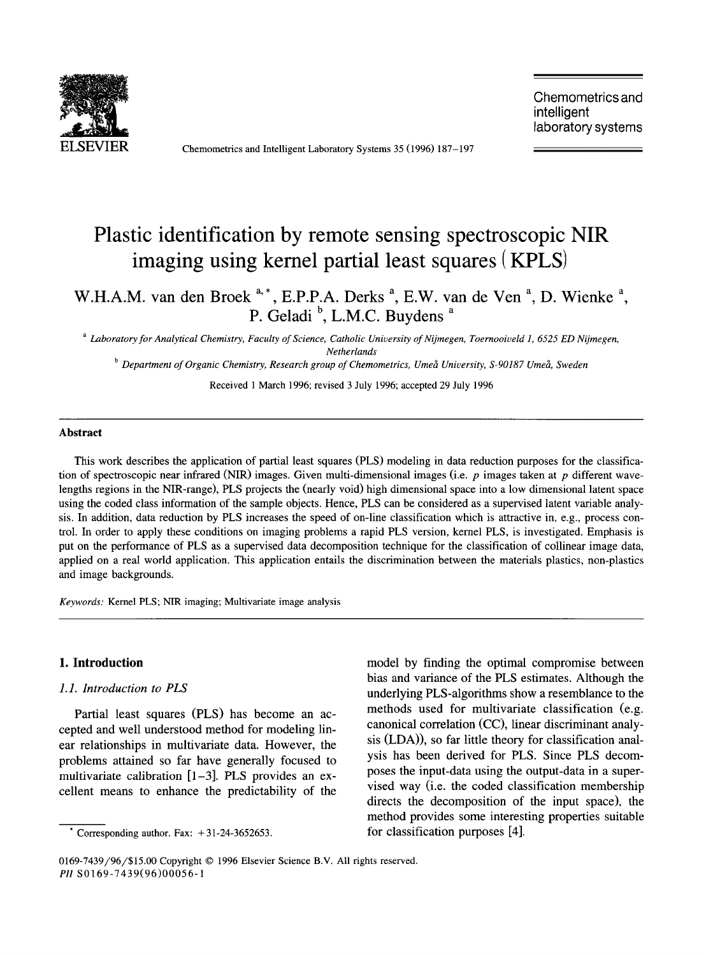

Chemometrics and Intelligent Laboratory Systems 35 (1996) 187-197

Chemometrics and intelligent laboratory systems

# **Plastic identification by remote sensing spectroscopic NIR imaging using kernel partial least squares (KPLS)**

W.H.A.M. van den Broek <sup>a,\*</sup>, E.P.P.A. Derks<sup>a</sup>, E.W. van de Ven<sup>a</sup>, D. Wienke<sup>a</sup>, P. Geladi<sup>b</sup>, L.M.C. Buydens<sup>a</sup>

*a Laboratory for Analytical Chemistry, Faculty of Science, Catholic University of Nijmegen, Toernooiveld 1, 6525 ED Nijmegen, Netherlands* 

<sup>b</sup> Department of Organic Chemistry, Research group of Chemometrics, Umeå University, S-90187 Umeå, Sweden

Received 1 March 1996; revised 3 July 1996; accepted 29 July 1996

#### **Abstract**

This work describes the application of partial least squares (PLS) modeling in data reduction purposes for the classification of spectroscopic near infrared (NIR) images. Given multi-dimensional images (i.e.  $p$  images taken at  $p$  different wavelengths regions in the NIR-range), PLS projects the (nearly void) high dimensional space into a low dimensional latent space using the coded class information of the sample objects. Hence, PLS can be considered as a supervised latent variable analysis. In addition, data reduction by PLS increases the speed of on-line classification which is attractive in, e.g., process control. In order to apply these conditions on imaging problems a rapid PLS version, kernel PLS, is investigated. Emphasis is put on the performance of PLS as a supervised data decomposition technique for the classification of collinear image data, applied on a real world application. This application entails the discrimination between the materials plastics, non-plastics and image backgrounds.

*Keywords:* Kernel PLS; NIR imaging; Multivariate image analysis

#### **1. Introduction**

# *1.1. Introduction to PLS*

Partial least squares (PLS) has become an accepted and well understood method for modeling linear relationships in multivariate data. However, the problems attained so far have generally focused to multivariate calibration  $[1-3]$ . PLS provides an excellent means to enhance the predictability of the model by finding the optimal compromise between bias and variance of the PLS estimates. Although the underlying PLS-algorithms show a resemblance to the methods used for multivariate classification (e.g. canonical correlation (CC), linear discriminant analysis (LDA)), so far little theory for classification analysis has been derived for PLS. Since PLS decomposes the input-data using the output-data in a supervised way (i.e. the coded classification membership directs the decomposition of the input space), the method provides some interesting properties suitable for classification purposes [4].

Corresponding author. Fax:  $+31-24-3652653$ .

<sup>0169-7439/96/\$15.00</sup> Copyright © 1996 Elsevier Science B.V. All rights reserved. *PI1* S0169-7439(96)00056-1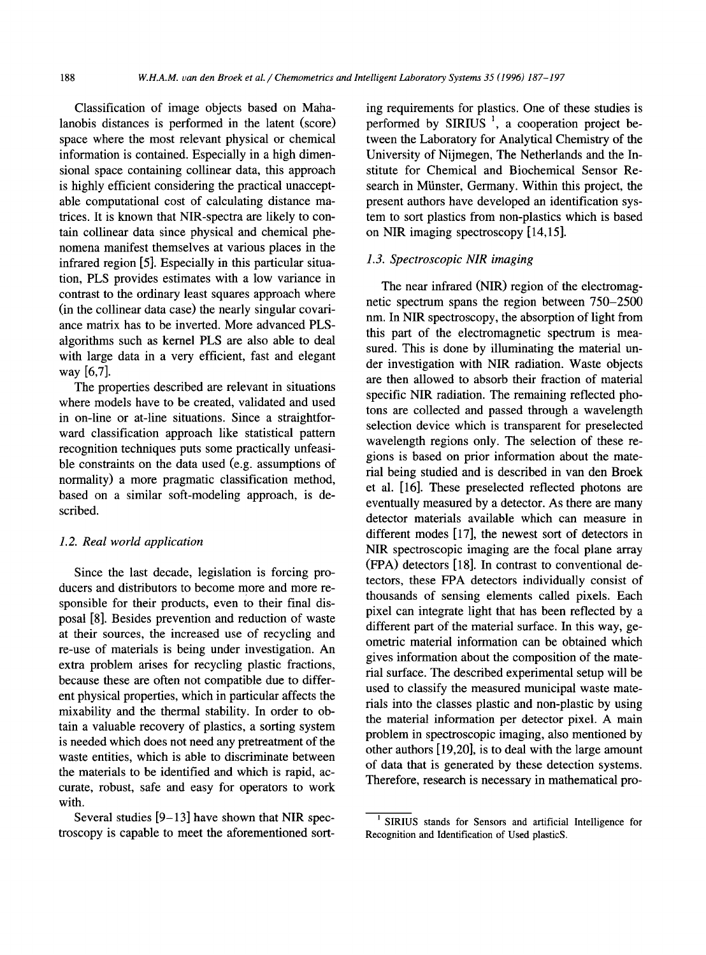Classification of image objects based on Mahalanobis distances is performed in the latent (score) space where the most relevant physical or chemical information is contained. Especially in a high dimensional space containing collinear data, this approach is highly efficient considering the practical unacceptable computational cost of calculating distance matrices. It is known that NIR-spectra are likely to contain collinear data since physical and chemical phenomena manifest themselves at various places in the infrared region [5]. Especially in this particular situation, PLS provides estimates with a low variance in contrast to the ordinary least squares approach where (in the collinear data case) the nearly singular covariance matrix has to be inverted. More advanced PLSalgorithms such as kernel PLS are also able to deal with large data in a very efficient, fast and elegant way [6,7].

The properties described are relevant in situations where models have to be created, validated and used in on-line or at-line situations. Since a straightforward classification approach like statistical pattern recognition techniques puts some practically unfeasible constraints on the data used (e.g. assumptions of normality) a more pragmatic classification method, based on a similar soft-modeling approach, is described.

#### *1.2. Real world application*

Since the last decade, legislation is forcing producers and distributors to become more and more responsible for their products, even to their final disposal [8]. Besides prevention and reduction of waste at their sources, the increased use of recycling and re-use of materials is being under investigation. An extra problem arises for recycling plastic fractions, because these are often not compatible due to different physical properties, which in particular affects the mixability and the thermal stability. In order to obtain a valuable recovery of plastics, a sorting system is needed which does not need any pretreatment of the waste entities, which is able to discriminate between the materials to be identified and which is rapid, accurate, robust, safe and easy for operators to work with.

Several studies  $[9-13]$  have shown that NIR spectroscopy is capable to meet the aforementioned sorting requirements for plastics. One of these studies is performed by  $SIRIUS<sup>-1</sup>$ , a cooperation project between the Laboratory for Analytical Chemistry of the University of Nijmegen, The Netherlands and the Institute for Chemical and Biochemical Sensor Research in Miinster, Germany. Within this project, the present authors have developed an identification system to sort plastics from non-plastics which is based on NIR imaging spectroscopy [14,15].

# *1.3. Spectroscopic NIR imaging*

The near infrared (NIR) region of the electromagnetic spectrum spans the region between 750-2500 nm. In NIR spectroscopy, the absorption of light from this part of the electromagnetic spectrum is measured. This is done by illuminating the material under investigation with NIR radiation. Waste objects are then allowed to absorb their fraction of material specific NIR radiation. The remaining reflected photons are collected and passed through a wavelength selection device which is transparent for preselected wavelength regions only. The selection of these regions is based on prior information about the material being studied and is described in van den Broek et al. [16]. These preselected reflected photons are eventually measured by a detector. As there are many detector materials available which can measure in different modes [17], the newest sort of detectors in NIR spectroscopic imaging are the focal plane array (FPA) detectors [18]. In contrast to conventional detectors, these FPA detectors individually consist of thousands of sensing elements called pixels. Each pixel can integrate light that has been reflected by a different part of the material surface. In this way, geometric material information can be obtained which gives information about the composition of the material surface. The described experimental setup will be used to classify the measured municipal waste materials into the classes plastic and non-plastic by using the material information per detector pixel. A main problem in spectroscopic imaging, also mentioned by other authors [19,20], is to deal with the large amount of data that is generated by these detection systems. Therefore, research is necessary in mathematical pro-

SIRIUS stands for Sensors and artificial Intelligence for Recognition and Identification of Used plasticS.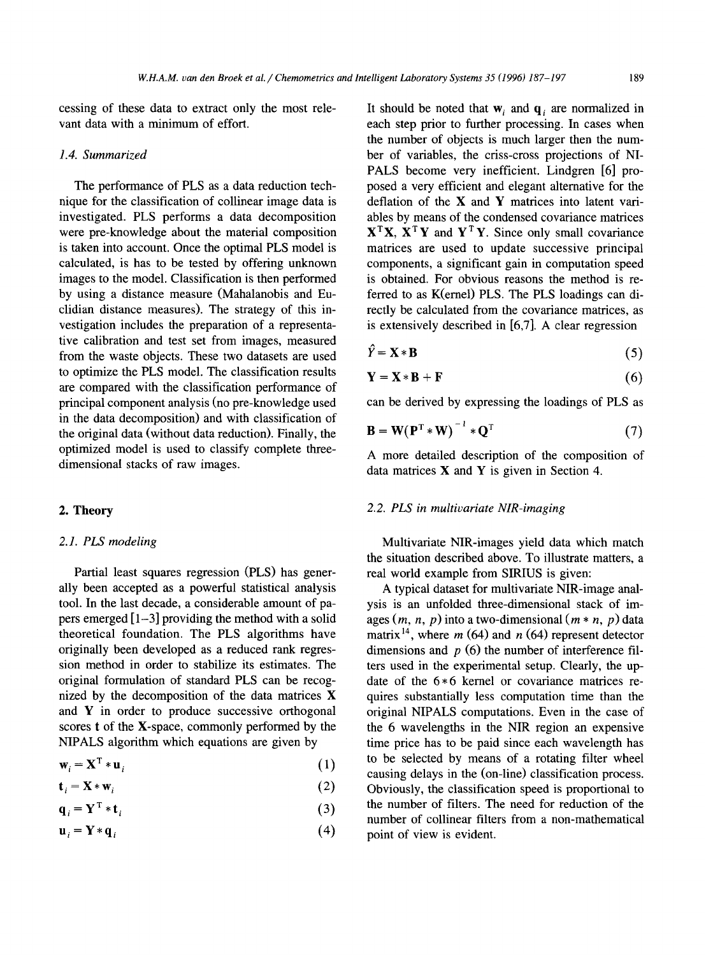cessing of these data to extract only the most relevant data with a minimum of effort.

#### *1.4. Summarized*

The performance of PLS as a data reduction technique for the classification of collinear image data is investigated. PLS performs a data decomposition were pre-knowledge about the material composition is taken into account. Once the optimal PLS model is calculated, is has to be tested by offering unknown images to the model. Classification is then performed by using a distance measure (Mahalanobis and Euclidian distance measures). The strategy of this investigation includes the preparation of a representative calibration and test set from images, measured from the waste objects. These two datasets are used to optimize the PLS model. The classification results are compared with the classification performance of principal component analysis (no pre-knowledge used in the data decomposition) and with classification of the original data (without data reduction). Finally, the optimized model is used to classify complete threedimensional stacks of raw images.

#### *2.1. PLS modeling*

Partial least squares regression (PLS) has generally been accepted as a powerful statistical analysis tool. In the last decade, a considerable amount of papers emerged  $\left[1-3\right]$  providing the method with a solid theoretical foundation. The PLS algorithms have originally been developed as a reduced rank regression method in order to stabilize its estimates. The original formulation of standard PLS can be recognized by the decomposition of the data matrices X and  $Y$  in order to produce successive orthogonal scores t of the X-space, commonly performed by the NIPALS algorithm which equations are given by

$$
\mathbf{w}_i = \mathbf{X}^{\mathrm{T}} \ast \mathbf{u}_i \tag{1}
$$

$$
\mathbf{t}_i = \mathbf{X} \ast \mathbf{w}_i \tag{2}
$$

$$
\mathbf{q}_i = \mathbf{Y}^{\mathrm{T}} * \mathbf{t}_i \tag{3}
$$

$$
\mathbf{u}_i = \mathbf{Y} * \mathbf{q}_i \tag{4}
$$

It should be noted that  $w_i$  and  $q_i$  are normalized in each step prior to further processing. In cases when the number of objects is much larger then the number of variables, the criss-cross projections of NI-PALS become very inefficient. Lindgren [6] proposed a very efficient and elegant alternative for the deflation of the  $X$  and  $Y$  matrices into latent variables by means of the condensed covariance matrices  $X^TX$ ,  $X^TY$  and  $Y^TY$ . Since only small covariance matrices are used to update successive principal components, a significant gain in computation speed is obtained. For obvious reasons the method is referred to as K(ernel) PLS. The PLS loadings can directly be calculated from the covariance matrices, as is extensively described in [6,7]. A clear regression

$$
\hat{Y} = \mathbf{X} * \mathbf{B} \tag{5}
$$

$$
\mathbf{Y} = \mathbf{X} * \mathbf{B} + \mathbf{F} \tag{6}
$$

can be derived by expressing the loadings of PLS as

$$
\mathbf{B} = \mathbf{W}(\mathbf{P}^{\mathrm{T}} * \mathbf{W})^{-1} * \mathbf{Q}^{\mathrm{T}}
$$
 (7)

A more detailed description of the composition of data matrices  $X$  and  $Y$  is given in Section 4.

# 2. **Theory** *2.2. PLS in multivariate NIR-imaging*

Multivariate NIR-images yield data which match the situation described above. To illustrate matters, a real world example from SIRIUS is given:

A typical dataset for multivariate NIR-image analysis is an unfolded three-dimensional stack of images  $(m, n, p)$  into a two-dimensional  $(m * n, p)$  data matrix <sup>14</sup>, where  $m(64)$  and  $n(64)$  represent detector dimensions and  $p(6)$  the number of interference filters used in the experimental setup. Clearly, the update of the  $6*6$  kernel or covariance matrices requires substantially less computation time than the original NIPALS computations. Even in the case of the 6 wavelengths in the NIR region an expensive time price has to be paid since each wavelength has to be selected by means of a rotating filter wheel causing delays in the (on-line) classification process. Obviously, the classification speed is proportional to the number of filters. The need for reduction of the number of collinear filters from a non-mathematical point of view is evident.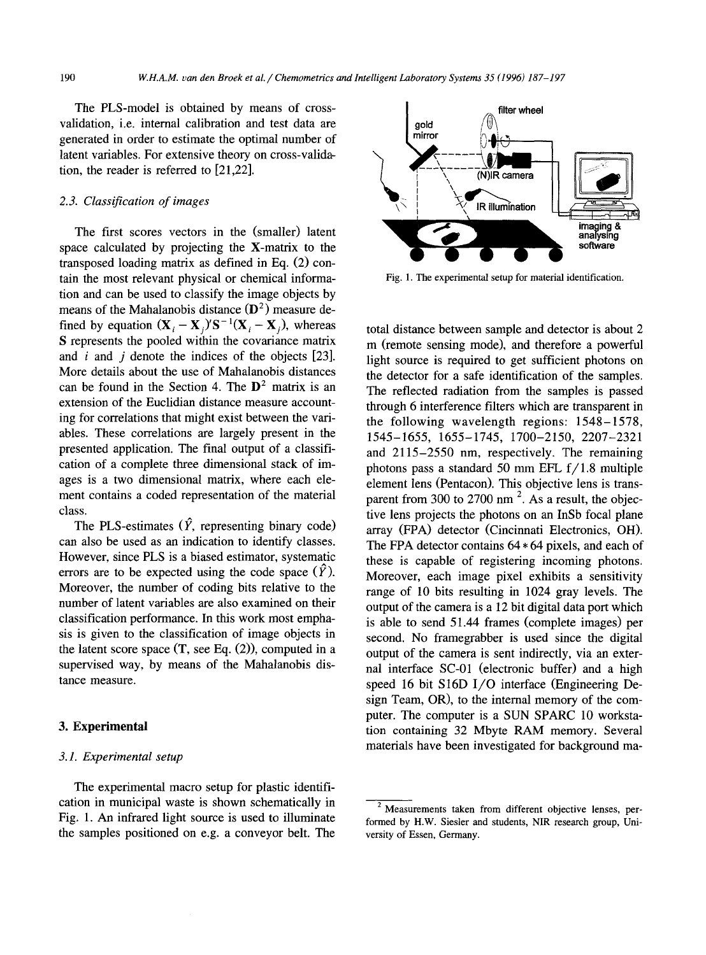The PLS-model is obtained by means of crossvalidation, i.e. internal calibration and test data are generated in order to estimate the optimal number of latent variables. For extensive theory on cross-validation, the reader is referred to [21,22].

# *2.3. Classification of images*

The first scores vectors in the (smaller) latent space calculated by projecting the X-matrix to the transposed loading matrix as defined in Eq. (2) contain the most relevant physical or chemical information and can be used to classify the image objects by means of the Mahalanobis distance  $(D^2)$  measure defined by equation  $(\mathbf{X}_i - \mathbf{X}_i)^t \mathbf{S}^{-1} (\mathbf{X}_i - \mathbf{X}_i)$ , whereas S represents the pooled within the covariance matrix and *i* and *j* denote the indices of the objects [23]. More details about the use of Mahalanobis distances can be found in the Section 4. The  $D^2$  matrix is an extension of the Euclidian distance measure accounting for correlations that might exist between the variables. These correlations are largely present in the presented application. The final output of a classification of a complete three dimensional stack of images is a two dimensional matrix, where each element contains a coded representation of the material class.

The PLS-estimates  $(\hat{Y},$  representing binary code) can also be used as an indication to identify classes. However, since PLS is a biased estimator, systematic errors are to be expected using the code space  $(\hat{Y})$ . Moreover, the number of coding bits relative to the number of latent variables are also examined on their classification performance. In this work most emphasis is given to the classification of image objects in the latent score space  $(T, \text{see Eq. (2)})$ , computed in a supervised way, by means of the Mahalanobis distance measure.

#### **3. Experimental**

#### *3.1. Experimental setup*

The experimental macro setup for plastic identification in municipal waste is shown schematically in Fig. 1. An infrared light source is used to illuminate the samples positioned on e.g. a conveyor belt. The



Fig. 1. The experimental setup for material identification.

total distance between sample and detector is about 2 m (remote sensing mode), and therefore a powerful light source is required to get sufficient photons on the detector for a safe identification of the samples. The reflected radiation from the samples is passed through 6 interference filters which are transparent in the following wavelength regions: 1548-1578, 1545-1655, 1655-1745, 1700-2150, 2207-2321 and 2115-2550 nm, respectively. The remaining photons pass a standard 50 mm EFL f/1.8 multiple element lens (Pentacon). This objective lens is transparent from 300 to 2700 nm<sup>2</sup>. As a result, the objective lens projects the photons on an InSb focal plane array (FPA) detector (Cincinnati Electronics, OH). The FPA detector contains 64 \* 64 pixels, and each of these is capable of registering incoming photons. Moreover, each image pixel exhibits a sensitivity range of 10 bits resulting in 1024 gray levels. The output of the camera is a 12 bit digital data port which is able to send 51.44 frames (complete images) per second. No framegrabber is used since the digital output of the camera is sent indirectly, via an external interface SC-01 (electronic buffer) and a high speed 16 bit S16D I/O interface (Engineering Design Team, OR), to the internal memory of the computer. The computer is a SUN SPARC 10 workstation containing 32 Mbyte RAM memory. Several materials have been investigated for background ma-

 $2\overline{R}$  Measurements taken from different objective lenses, performed by H.W. Siesler and students, NIR research group, University of Essen, Germany.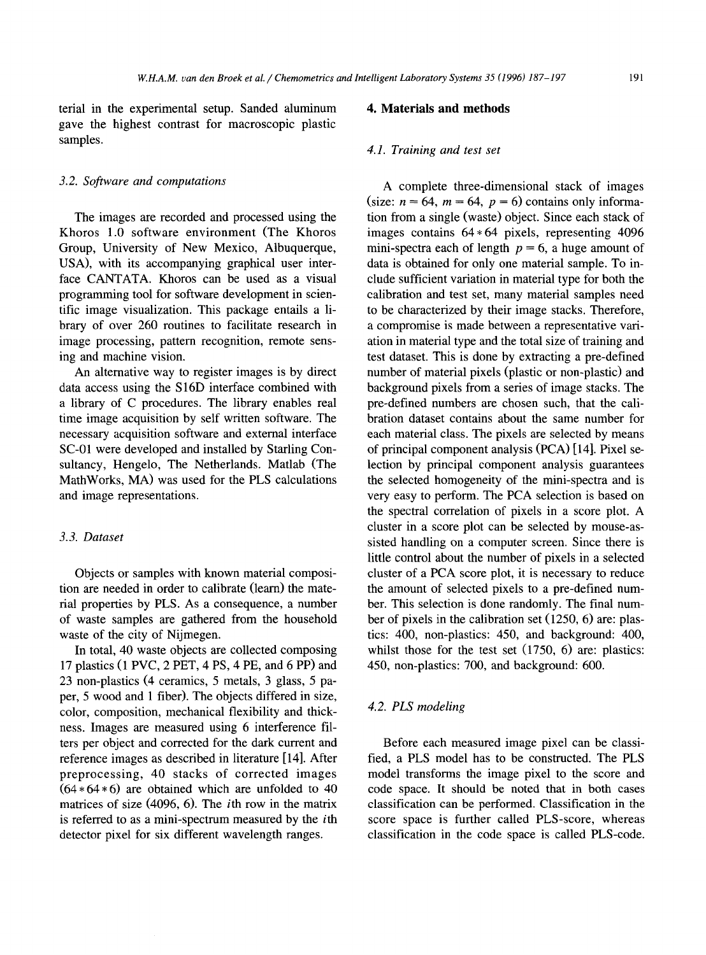terial in the experimental setup. Sanded aluminum gave the highest contrast for macroscopic plastic samples.

#### *3.2. Software and computations*

The images are recorded and processed using the Khoros 1.0 software environment (The Khoros Group, University of New Mexico, Albuquerque, USA), with its accompanying graphical user interface CANTATA. Khoros can be used as a visual programming tool for software development in scientific image visualization. This package entails a library of over 260 routines to facilitate research in image processing, pattern recognition, remote sensing and machine vision.

An alternative way to register images is by direct data access using the S16D interface combined with a library of C procedures. The library enables real time image acquisition by self written software. The necessary acquisition software and external interface SC-01 were developed and installed by Starling Consultancy, Hengelo, The Netherlands. Matlab (The MathWorks, MA) was used for the PLS calculations and image representations.

# *3.3. Dataset*

Objects or samples with known material composition are needed in order to calibrate (learn) the material properties by PLS. As a consequence, a number of waste samples are gathered from the household waste of the city of Nijmegen.

In total, 40 waste objects are collected composing 17 plastics (1 PVC, 2 PET, 4 PS, 4 PE, and 6 PP) and 23 non-plastics (4 ceramics, 5 metals, 3 glass, 5 paper, 5 wood and 1 fiber). The objects differed in size, color, composition, mechanical flexibility and thickness. Images are measured using 6 interference filters per object and corrected for the dark current and reference images as described in literature [14]. After preprocessing, 40 stacks of corrected images  $(64 * 64 * 6)$  are obtained which are unfolded to 40 matrices of size (4096, 6). The ith row in the matrix is referred to as a mini-spectrum measured by the ith detector pixel for six different wavelength ranges.

#### **4. Materials and methods**

#### *4.1. Training and test set*

A complete three-dimensional stack of images (size:  $n = 64$ ,  $m = 64$ ,  $p = 6$ ) contains only information from a single (waste) object. Since each stack of images contains  $64*64$  pixels, representing  $4096$ mini-spectra each of length  $p = 6$ , a huge amount of data is obtained for only one material sample. To include sufficient variation in material type for both the calibration and test set, many material samples need to be characterized by their image stacks. Therefore, a compromise is made between a representative variation in material type and the total size of training and test dataset. This is done by extracting a pre-defined number of material pixels (plastic or non-plastic) and background pixels from a series of image stacks. The pre-defined numbers are chosen such, that the calibration dataset contains about the same number for each material class. The pixels are selected by means of principal component analysis (PCA) [14]. Pixel selection by principal component analysis guarantees the selected homogeneity of the mini-spectra and is very easy to perform. The PCA selection is based on the spectral correlation of pixels in a score plot. A cluster in a score plot can be selected by mouse-assisted handling on a computer screen. Since there is little control about the number of pixels in a selected cluster of a PCA score plot, it is necessary to reduce the amount of selected pixels to a pre-defined number. This selection is done randomly. The final number of pixels in the calibration set (1250, 6) are: plastics: 400, non-plastics: 450, and background: 400, whilst those for the test set (1750, 6) are: plastics: 450, non-plastics: 700, and background: 600.

# *4.2. PLS modeling*

Before each measured image pixel can be classified, a PLS model has to be constructed. The PLS model transforms the image pixel to the score and code space. It should be noted that in both cases classification can be performed. Classification in the score space is further called PLS-score, whereas classification in the code space is called PLS-code.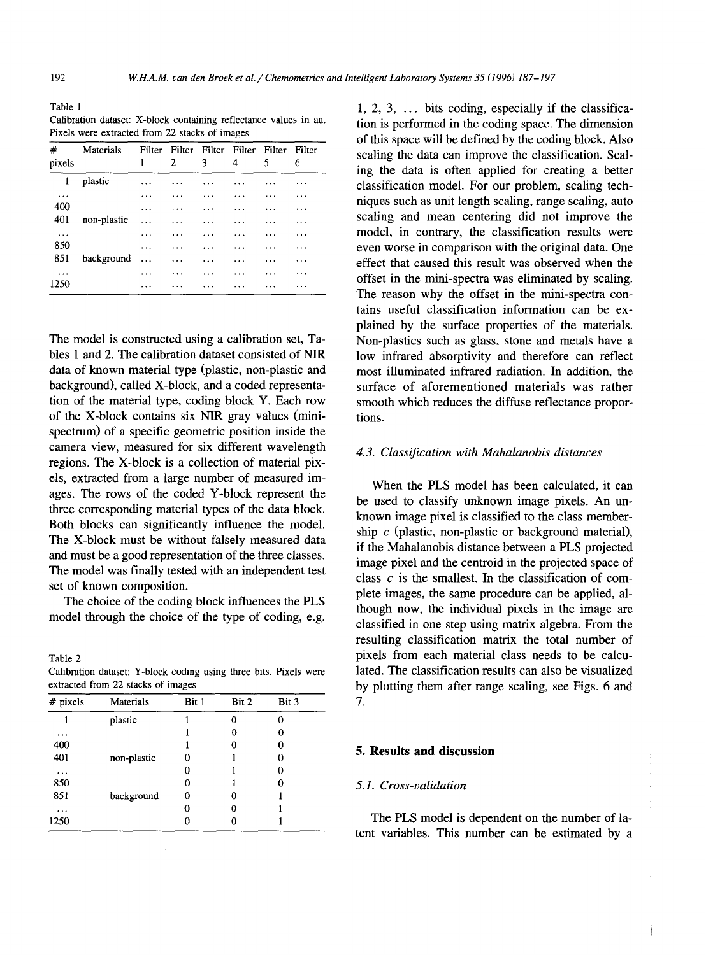Table 1 Calibration dataset: X-block containing reflectance values in au. Pixels were extracted from 22 stacks of images

| #<br>pixels | Materials   | 1         | 2         | 3         | 4        | Filter Filter Filter Filter Filter Filter<br>5 | 6        |
|-------------|-------------|-----------|-----------|-----------|----------|------------------------------------------------|----------|
| 1           | plastic     |           |           |           |          |                                                | .        |
| $\cdots$    |             | .         |           |           |          |                                                | .        |
| 400         |             | .         | $\cdots$  | $\cdots$  | $\cdots$ | $\cdots$                                       | $\cdots$ |
| 401         | non-plastic | $\ddotsc$ | $\ddotsc$ | $\cdots$  | .        | $\ddotsc$                                      | .        |
| $\cdots$    |             | .         | $\cdots$  | .         | $\cdots$ | .                                              | .        |
| 850         |             | .         | $\cdots$  | $\ddotsc$ | $\cdots$ | $\cdots$                                       | .        |
| 851         | background  | $\sim$    | $\cdots$  | $\cdots$  | $\cdots$ | $\cdots$                                       | $\cdots$ |
| $\cdots$    |             | .         | $\cdots$  | $\cdots$  | $\cdots$ | $\cdots$                                       | .        |
| 1250        |             | .         | $\cdots$  |           | $\cdots$ | .                                              | .        |

The model is constructed using a calibration set, Tables 1 and 2. The calibration dataset consisted of NIR data of known material type (plastic, non-plastic and background), called X-block, and a coded representation of the material type, coding block Y. Each row of the X-block contains six NIR gray values (minispectrum) of a specific geometric position inside the camera view, measured for six different wavelength regions. The X-block is a collection of material pixels, extracted from a large number of measured images. The rows of the coded Y-block represent the three corresponding material types of the data block. Both blocks can significantly influence the model. The X-block must be without falsely measured data and must be a good representation of the three classes. The model was finally tested with an independent test set of known composition.

The choice of the coding block influences the PLS model through the choice of the type of coding, e.g.

Table 2 Calibration dataset: Y-block coding using three bits. Pixels were extracted from 22 stacks of images

| $#$ pixels | Materials   | Bit 1 | Bit 2 | Bit 3 |
|------------|-------------|-------|-------|-------|
|            | plastic     |       |       |       |
| $\cdots$   |             |       | 0     | 0     |
| 400        |             |       | O     |       |
| 401        | non-plastic | Ω     |       |       |
| $\cdots$   |             | 0     |       |       |
| 850        |             | Ð     |       |       |
| 851        | background  | 0     | 0     |       |
| .          |             |       | 0     |       |
| 1250       |             | 0     | 0     |       |

1, 2, 3,  $\ldots$  bits coding, especially if the classification is performed in the coding space. The dimension of this space will be defined by the coding block. Also scaling the data can improve the classification. Scaling the data is often applied for creating a better classification model. For our problem, scaling techniques such as unit length scaling, range scaling, auto scaling and mean centering did not improve the model, in contrary, the classification results were even worse in comparison with the original data. One effect that caused this result was observed when the offset in the mini-spectra was eliminated by scaling. The reason why the offset in the mini-spectra contains useful classification information can be explained by the surface properties of the materials. Non-plastics such as glass, stone and metals have a low infrared absorptivity and therefore can reflect most illuminated infrared radiation. In addition, the surface of aforementioned materials was rather smooth which reduces the diffuse reflectance proportions.

#### *4.3. Classification with Mahalanobis distances*

When the PLS model has been calculated, it can be used to classify unknown image pixels. An unknown image pixel is classified to the class membership  $c$  (plastic, non-plastic or background material), if the Mahalanobis distance between a PLS projected image pixel and the centroid in the projected space of class c is the smallest. In the classification of complete images, the same procedure can be applied, although now, the individual pixels in the image are classified in one step using matrix algebra. From the resulting classification matrix the total number of pixels from each material class needs to be calculated. The classification results can also be visualized by plotting them after range scaling, see Figs. 6 and 7.

#### **5. Results and discussion**

### *5.1. Cross-validation*

The PLS model is dependent on the number of latent variables. This number can be estimated by a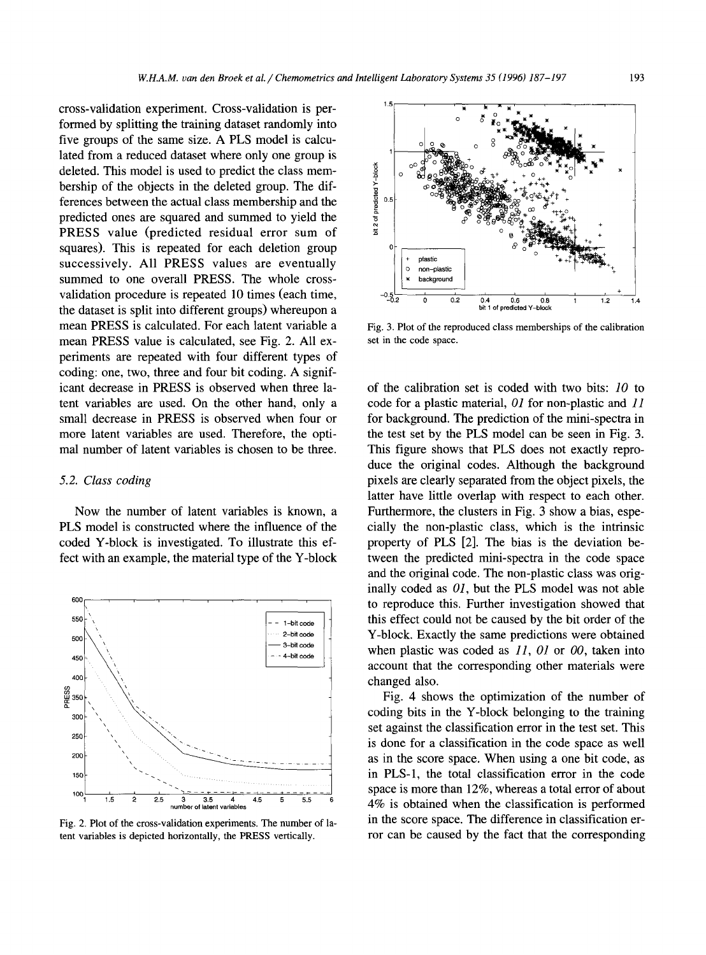cross-validation experiment. Cross-validation is performed by splitting the training dataset randomly into five groups of the same size. A PLS model is calculated from a reduced dataset where only one group is deleted. This model is used to predict the class membership of the objects in the deleted group. The differences between the actual class membership and the predicted ones are squared and summed to yield the PRESS value (predicted residual error sum of squares). This is repeated for each deletion group successively. All PRESS values are eventually summed to one overall PRESS. The whole crossvalidation procedure is repeated 10 times (each time, the dataset is split into different groups) whereupon a mean PRESS is calculated. For each latent variable a mean PRESS value is calculated, see Fig. 2. All experiments are repeated with four different types of coding: one, two, three and four bit coding. A significant decrease in PRESS is observed when three latent variables are used. On the other hand, only a small decrease in PRESS is observed when four or more latent variables are used. Therefore, the optimal number of latent variables is chosen to be three.

#### *5.2. Class coding*

Now the number of latent variables is known, a PLS model is constructed where the influence of the coded Y-block is investigated. To illustrate this effect with an example, the material type of the Y-block



Fig. 2. Plot of the cross-validation experiments. The number of latent variables is depicted horizontally, the PRESS vertically.



Fig. 3. Plot of the reproduced class memberships of the calibration set in the code space.

of the calibration set is coded with two bits: *10* to code for a plastic material, *O1* for non-plastic and 11 for background. The prediction of the mini-spectra in the test set by the PLS model can be seen in Fig. 3. This figure shows that PLS does not exactly reproduce the original codes. Although the background pixels are clearly separated from the object pixels, the latter have little overlap with respect to each other. Furthermore, the clusters in Fig. 3 show a bias, especially the non-plastic class, which is the intrinsic property of PLS [2]. The bias is the deviation between the predicted mini-spectra in the code space and the original code. The non-plastic class was originally coded as *01,* but the PLS model was not able to reproduce this, Further investigation showed that this effect could not be caused by the bit order of the Y-block. Exactly the same predictions were obtained when plastic was coded as *11, 01* or 00, taken into account that the corresponding other materials were changed also.

Fig. 4 shows the optimization of the number of coding bits in the Y-block belonging to the training set against the classification error in the test set. This is done for a classification in the code space as well as in the score space. When using a one bit code, as in PLS-1, the total classification error in the code space is more than 12%, whereas a total error of about 4% is obtained when the classification is performed in the score space. The difference in classification error can be caused by the fact that the corresponding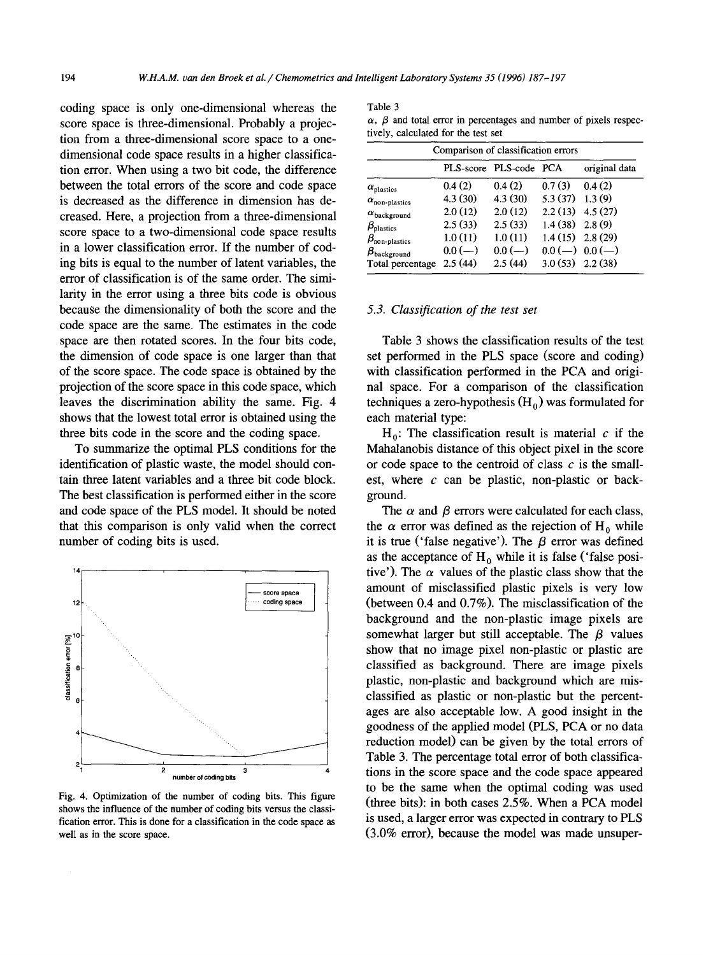coding space is only one-dimensional whereas the score space is three-dimensional. Probably a projection from a three-dimensional score space to a onedimensional code space results in a higher classification error. When using a two bit code, the difference between the total errors of the score and code space is decreased as the difference in dimension has decreased. Here, a projection from a three-dimensional score space to a two-dimensional code space results in a lower classification error. If the number of coding bits is equal to the number of latent variables, the error of classification is of the same order. The similarity in the error using a three bits code is obvious because the dimensionality of both the score and the code space are the same. The estimates in the code space are then rotated scores. In the four bits code, the dimension of code space is one larger than that of the score space. The code space is obtained by the projection of the score space in this code space, which leaves the discrimination ability the same. Fig. 4 shows that the lowest total error is obtained using the three bits code in the score and the coding space.

To summarize the optimal PLS conditions for the identification of plastic waste, the model should contain three latent variables and a three bit code block. The best classification is performed either in the score and code space of the PLS model. It should be noted that this comparison is only valid when the correct number of coding bits is used.



Fig. 4. Optimization of the number of coding bits. This figure shows the influence of the number of coding bits versus the classification error. This is done for a classification in the code space as well as in the score space.

#### Table 3

 $\alpha$ ,  $\beta$  and total error in percentages and number of pixels respectively, calculated for the test set

| Comparison of classification errors |          |                        |                     |                     |  |  |  |
|-------------------------------------|----------|------------------------|---------------------|---------------------|--|--|--|
|                                     |          | PLS-score PLS-code PCA |                     | original data       |  |  |  |
| $\alpha_{\text{plastics}}$          | 0.4(2)   | 0.4(2)                 | 0.7(3)              | 0.4(2)              |  |  |  |
| $\alpha_{\text{non-plastic}}$       | 4.3(30)  | 4.3(30)                | 5.3(37)             | 1.3(9)              |  |  |  |
| $\alpha$ background                 | 2.0(12)  | 2.0(12)                | $2.2(13)$ 4.5 (27)  |                     |  |  |  |
| $\beta_{\text{plastics}}$           | 2.5(33)  | 2.5(33)                | $1.4(38)$ $2.8(9)$  |                     |  |  |  |
| $\beta_{\text{non-plastic}}$        | 1.0(11)  | 1.0(11)                |                     | $1.4(15)$ $2.8(29)$ |  |  |  |
| $\beta_{\text{background}}$         | $0.0(-)$ | $0.0$ (--)             |                     | $0.0(-) 0.0(-)$     |  |  |  |
| Total percentage                    | 2.5(44)  | 2.5(44)                | $3.0(53)$ $2.2(38)$ |                     |  |  |  |

#### *5.3. Classification of the test set*

Table 3 shows the classification results of the test set performed in the PLS space (score and coding) with classification performed in the PCA and original space. For a comparison of the classification techniques a zero-hypothesis  $(H_0)$  was formulated for each material type:

 $H_0$ : The classification result is material c if the Mahalanobis distance of this object pixel in the score or code space to the centroid of class  $c$  is the smallest, where  $c$  can be plastic, non-plastic or background.

The  $\alpha$  and  $\beta$  errors were calculated for each class, the  $\alpha$  error was defined as the rejection of H<sub>0</sub> while it is true ('false negative'). The  $\beta$  error was defined as the acceptance of  $H_0$  while it is false ('false positive'). The  $\alpha$  values of the plastic class show that the amount of misclassified plastic pixels is very low (between 0.4 and 0.7%). The misclassification of the background and the non-plastic image pixels are somewhat larger but still acceptable. The  $\beta$  values show that no image pixel non-plastic or plastic are classified as background. There are image pixels plastic, non-plastic and background which are misclassified as plastic or non-plastic but the percentages are also acceptable low. A good insight in the goodness of the applied model (PLS, PCA or no data reduction model) can be given by the total errors of Table 3. The percentage total error of both classifications in the score space and the code space appeared to be the same when the optimal coding was used (three bits): in both cases 2.5%. When a PCA model is used, a larger error was expected in contrary to PLS (3.0% error), because the model was made unsuper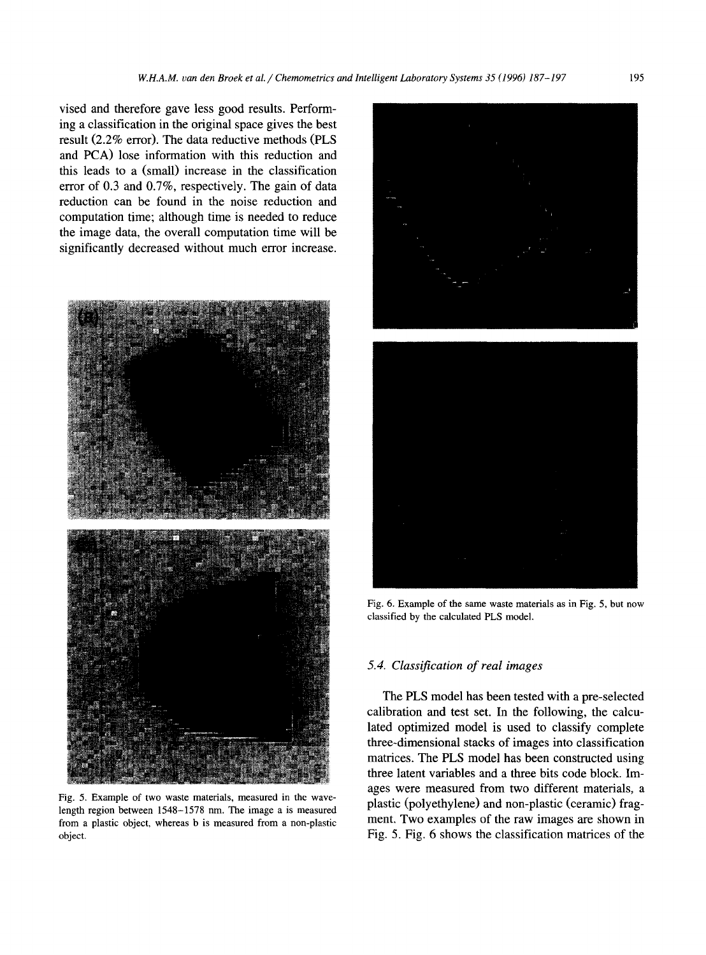vised and therefore gave less good results. Performing a classification in the original space gives the best result (2.2% error). The data reductive methods (PLS and PCA) lose information with this reduction and this leads to a (small) increase in the classification error of 0.3 and 0.7%, respectively. The gain of data reduction can be found in the noise reduction and computation time; although time is needed to reduce the image data, the overall computation time will be significantly decreased without much error increase.



Fig. 5. Example of two waste materials, measured in the wavelength region between 1548-1578 nm. The image a is measured from a plastic object, whereas b is measured from a non-plastic object.



classified by the calculated PLS model.

#### *5.4. Classification of real images*

The PLS model has been tested with a pre-selected calibration and test set. In the following, the calculated optimized model is used to classify complete three-dimensional stacks of images into classification matrices. The PLS model has been constructed using three latent variables and a three bits code block. Images were measured from two different materials, a plastic (polyethylene) and non-plastic (ceramic) fragment, Two examples of the raw images are shown in Fig. 5. Fig. 6 shows the classification matrices of the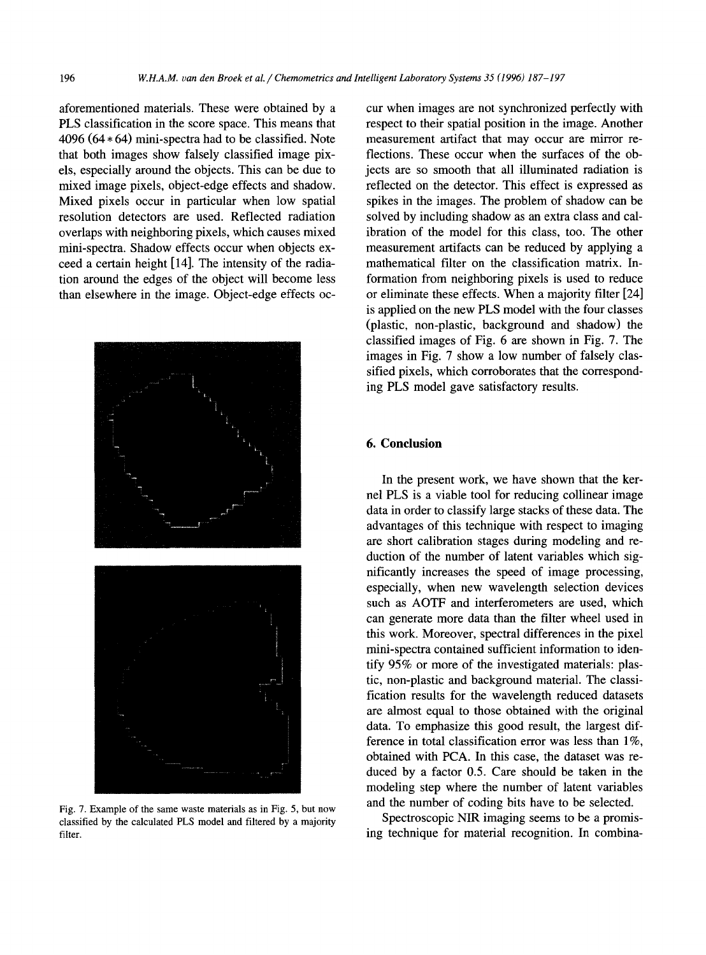aforementioned materials. These were obtained by a PLS classification in the score space. This means that  $4096$  ( $64 * 64$ ) mini-spectra had to be classified. Note that both images show falsely classified image pixels, especially around the objects. This can be due to mixed image pixels, object-edge effects and shadow. Mixed pixels occur in particular when low spatial resolution detectors are used. Reflected radiation overlaps with neighboring pixels, which causes mixed mini-spectra. Shadow effects occur when objects exceed a certain height [14]. The intensity of the radiation around the edges of the object will become less than elsewhere in the image. Object-edge effects oc-



Fig. 7. Example of the same waste materials as in Fig. 5, but now classified by the calculated PLS model and filtered by a majority filter.

cur when images are not synchronized perfectly with respect to their spatial position in the image. Another measurement artifact that may occur are mirror reflections. These occur when the surfaces of the objects are so smooth that all illuminated radiation is reflected on the detector. This effect is expressed as spikes in the images. The problem of shadow can be solved by including shadow as an extra class and calibration of the model for this class, too. The other measurement artifacts can be reduced by applying a mathematical filter on the classification matrix. Information from neighboring pixels is used to reduce or eliminate these effects. When a majority filter [24] is applied on the new PLS model with the four classes (plastic, non-plastic, background and shadow) the classified images of Fig. 6 are shown in Fig. 7. The images in Fig. 7 show a low number of falsely classified pixels, which corroborates that the corresponding PLS model gave satisfactory results.

# **6. Conclusion**

In the present work, we have shown that the kernel PLS is a viable tool for reducing collinear image data in order to classify large stacks of these data. The advantages of this technique with respect to imaging are short calibration stages during modeling and reduction of the number of latent variables which significantly increases the speed of image processing, especially, when new wavelength selection devices such as AOTF and interferometers are used, which can generate more data than the filter wheel used in this work. Moreover, spectral differences in the pixel mini-spectra contained sufficient information to identify 95% or more of the investigated materials: plastic, non-plastic and background material. The classification results for the wavelength reduced datasets are almost equal to those obtained with the original data. To emphasize this good result, the largest difference in total classification error was less than 1%, obtained with PCA. In this case, the dataset was reduced by a factor 0.5. Care should be taken in the modeling step where the number of latent variables and the number of coding bits have to be selected.

Spectroscopic NIR imaging seems to be a promising technique for material recognition. In combina